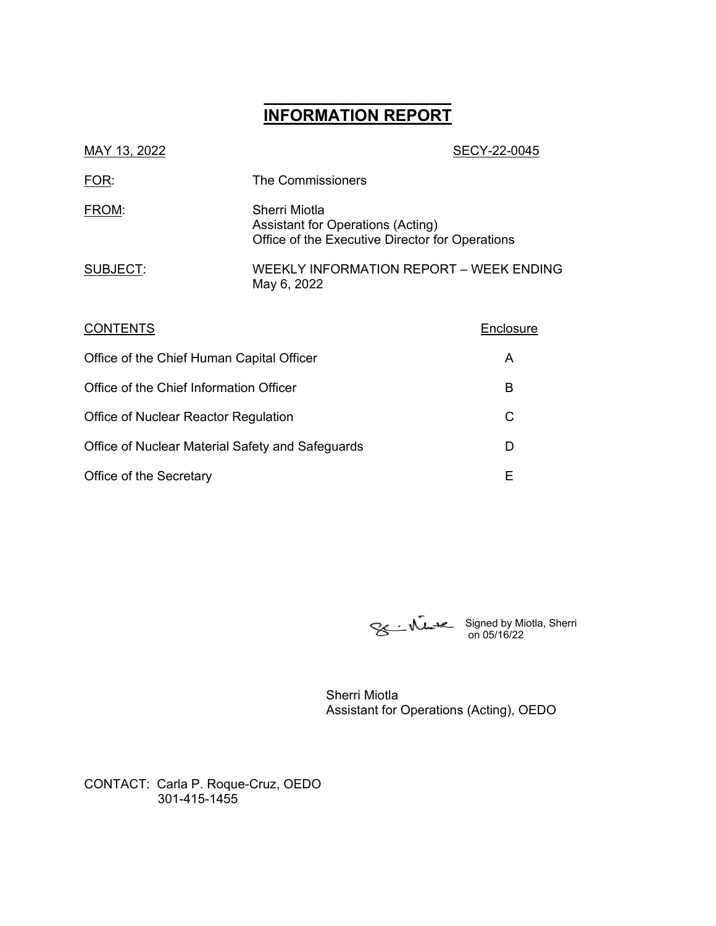# **\_\_\_\_\_\_\_\_\_\_\_\_\_\_\_\_\_\_ INFORMATION REPORT**

| MAY 13, 2022                                                           |                                                                                                       | SECY-22-0045 |
|------------------------------------------------------------------------|-------------------------------------------------------------------------------------------------------|--------------|
| FOR:                                                                   | The Commissioners                                                                                     |              |
| FROM:                                                                  | Sherri Miotla<br>Assistant for Operations (Acting)<br>Office of the Executive Director for Operations |              |
| SUBJECT:                                                               | WEEKLY INFORMATION REPORT - WEEK ENDING<br>May 6, 2022                                                |              |
| <b>CONTENTS</b>                                                        |                                                                                                       | Enclosure    |
| Office of the Chief Human Capital Officer                              |                                                                                                       | A            |
| $Q_{\text{max}}$ of the $Q_{\text{back}}$ Information $Q_{\text{max}}$ |                                                                                                       | D            |

| Office of the Chief Information Officer          |  |
|--------------------------------------------------|--|
| Office of Nuclear Reactor Regulation             |  |
| Office of Nuclear Material Safety and Safeguards |  |
| Office of the Secretary                          |  |

Signed by Miotla, Sherri on 05/16/22

Sherri Miotla Assistant for Operations (Acting), OEDO

CONTACT: Carla P. Roque-Cruz, OEDO 301-415-1455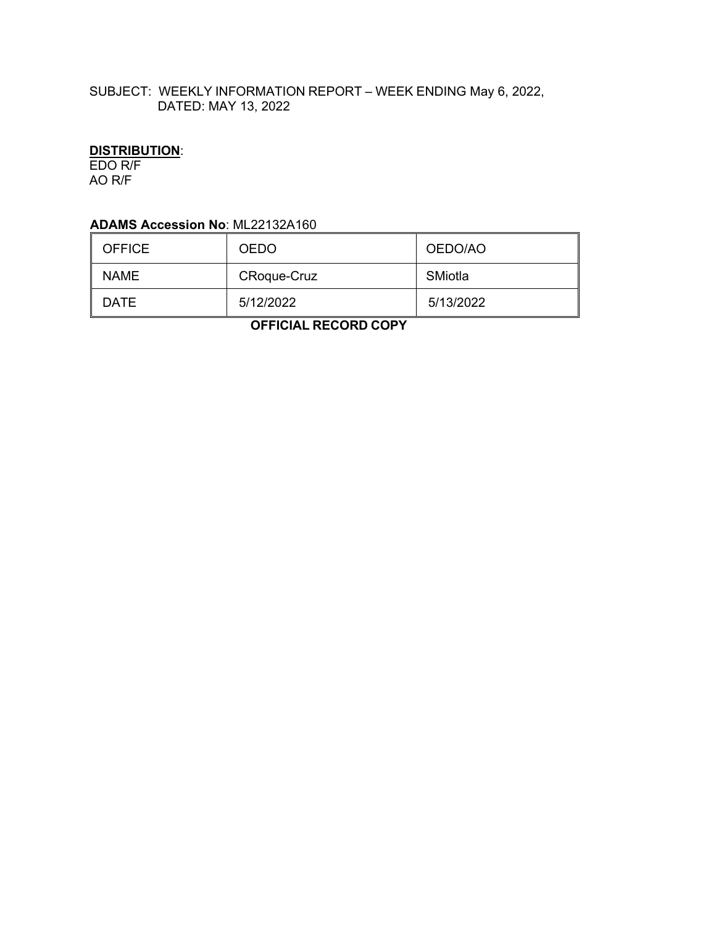## SUBJECT: WEEKLY INFORMATION REPORT – WEEK ENDING May 6, 2022, DATED: MAY 13, 2022

## **DISTRIBUTION**:

EDO R/F AO R/F

## **ADAMS Accession No**: ML22132A160

| <b>OFFICE</b> | <b>OEDO</b>        | OEDO/AO   |
|---------------|--------------------|-----------|
| <b>NAME</b>   | <b>CRoque-Cruz</b> | SMiotla   |
| DATE          | 5/12/2022          | 5/13/2022 |

 **OFFICIAL RECORD COPY**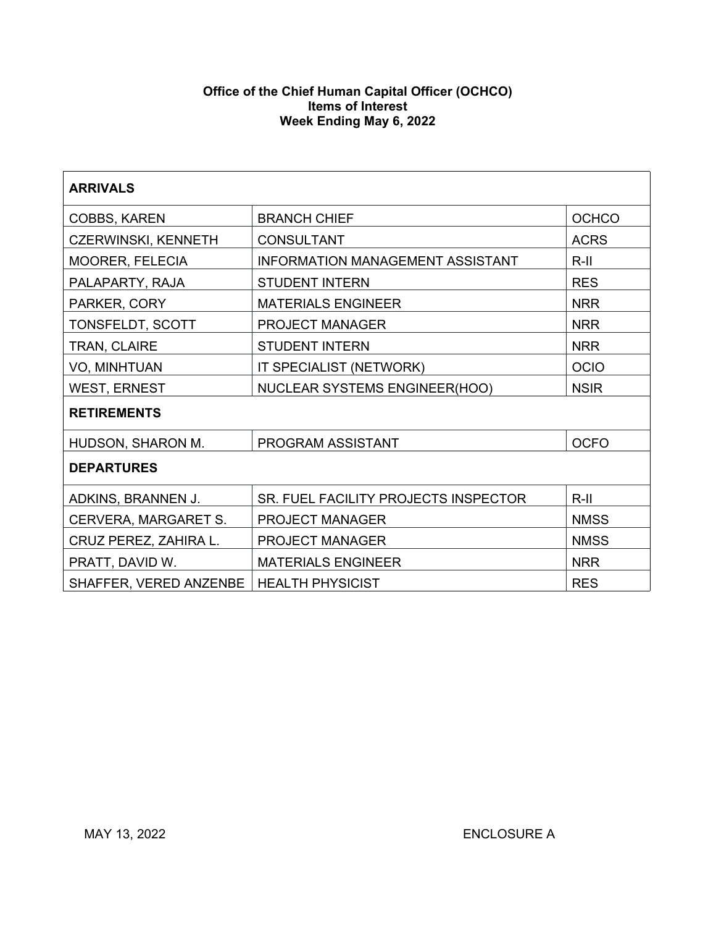#### **Office of the Chief Human Capital Officer (OCHCO) Items of Interest Week Ending May 6, 2022**

| <b>ARRIVALS</b>        |                                                    |              |  |  |
|------------------------|----------------------------------------------------|--------------|--|--|
| COBBS, KAREN           | <b>BRANCH CHIEF</b>                                | <b>OCHCO</b> |  |  |
| CZERWINSKI, KENNETH    | <b>CONSULTANT</b>                                  | <b>ACRS</b>  |  |  |
| MOORER, FELECIA        | <b>INFORMATION MANAGEMENT ASSISTANT</b><br>$R-III$ |              |  |  |
| PALAPARTY, RAJA        | <b>STUDENT INTERN</b>                              | <b>RES</b>   |  |  |
| PARKER, CORY           | <b>MATERIALS ENGINEER</b>                          | <b>NRR</b>   |  |  |
| TONSFELDT, SCOTT       | PROJECT MANAGER                                    | <b>NRR</b>   |  |  |
| TRAN, CLAIRE           | <b>STUDENT INTERN</b>                              | <b>NRR</b>   |  |  |
| VO, MINHTUAN           | IT SPECIALIST (NETWORK)<br><b>OCIO</b>             |              |  |  |
| <b>WEST, ERNEST</b>    | NUCLEAR SYSTEMS ENGINEER(HOO)<br><b>NSIR</b>       |              |  |  |
| <b>RETIREMENTS</b>     |                                                    |              |  |  |
| HUDSON, SHARON M.      | PROGRAM ASSISTANT                                  | <b>OCFO</b>  |  |  |
| <b>DEPARTURES</b>      |                                                    |              |  |  |
| ADKINS, BRANNEN J.     | SR. FUEL FACILITY PROJECTS INSPECTOR               | $R-II$       |  |  |
| CERVERA, MARGARET S.   | <b>PROJECT MANAGER</b><br><b>NMSS</b>              |              |  |  |
| CRUZ PEREZ, ZAHIRA L.  | PROJECT MANAGER<br><b>NMSS</b>                     |              |  |  |
| PRATT, DAVID W.        | <b>NRR</b><br><b>MATERIALS ENGINEER</b>            |              |  |  |
| SHAFFER, VERED ANZENBE | <b>HEALTH PHYSICIST</b>                            | <b>RES</b>   |  |  |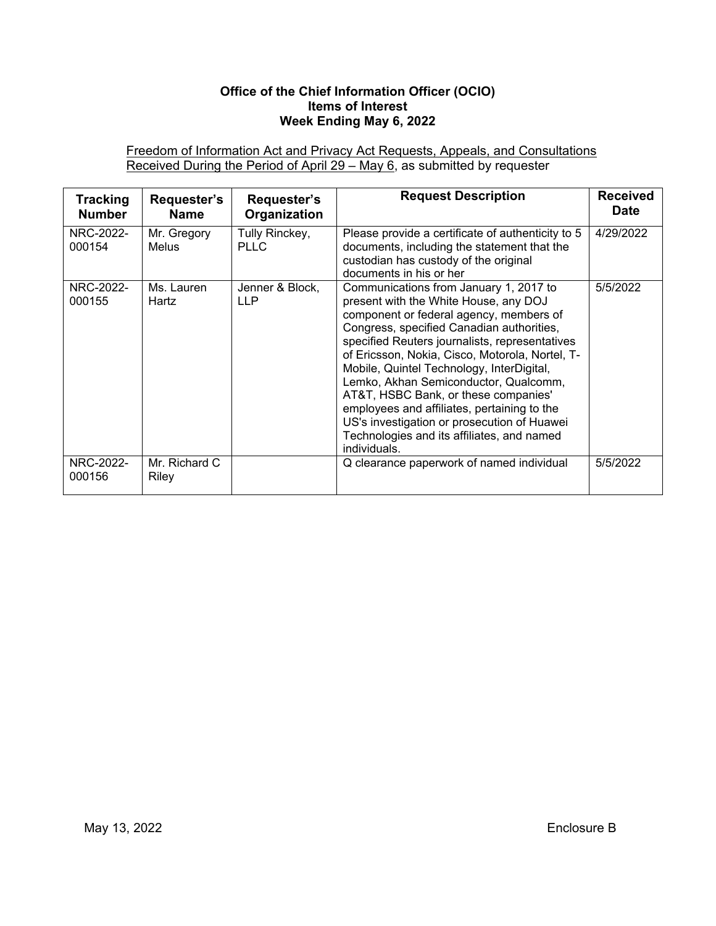#### **Office of the Chief Information Officer (OCIO) Items of Interest Week Ending May 6, 2022**

Freedom of Information Act and Privacy Act Requests, Appeals, and Consultations Received During the Period of April 29 – May 6, as submitted by requester

| <b>Tracking</b><br><b>Number</b> | Requester's<br><b>Name</b>  | Requester's<br>Organization   | <b>Request Description</b>                                                                                                                                                                                                                                                                                                                                                                                                                                                                                                                                             | <b>Received</b><br><b>Date</b> |
|----------------------------------|-----------------------------|-------------------------------|------------------------------------------------------------------------------------------------------------------------------------------------------------------------------------------------------------------------------------------------------------------------------------------------------------------------------------------------------------------------------------------------------------------------------------------------------------------------------------------------------------------------------------------------------------------------|--------------------------------|
| NRC-2022-<br>000154              | Mr. Gregory<br><b>Melus</b> | Tully Rinckey,<br><b>PLLC</b> | Please provide a certificate of authenticity to 5<br>documents, including the statement that the<br>custodian has custody of the original<br>documents in his or her                                                                                                                                                                                                                                                                                                                                                                                                   | 4/29/2022                      |
| NRC-2022-<br>000155              | Ms. Lauren<br>Hartz         | Jenner & Block,<br><b>LLP</b> | Communications from January 1, 2017 to<br>present with the White House, any DOJ<br>component or federal agency, members of<br>Congress, specified Canadian authorities,<br>specified Reuters journalists, representatives<br>of Ericsson, Nokia, Cisco, Motorola, Nortel, T-<br>Mobile, Quintel Technology, InterDigital,<br>Lemko, Akhan Semiconductor, Qualcomm,<br>AT&T, HSBC Bank, or these companies'<br>employees and affiliates, pertaining to the<br>US's investigation or prosecution of Huawei<br>Technologies and its affiliates, and named<br>individuals. | 5/5/2022                       |
| NRC-2022-<br>000156              | Mr. Richard C<br>Riley      |                               | Q clearance paperwork of named individual                                                                                                                                                                                                                                                                                                                                                                                                                                                                                                                              | 5/5/2022                       |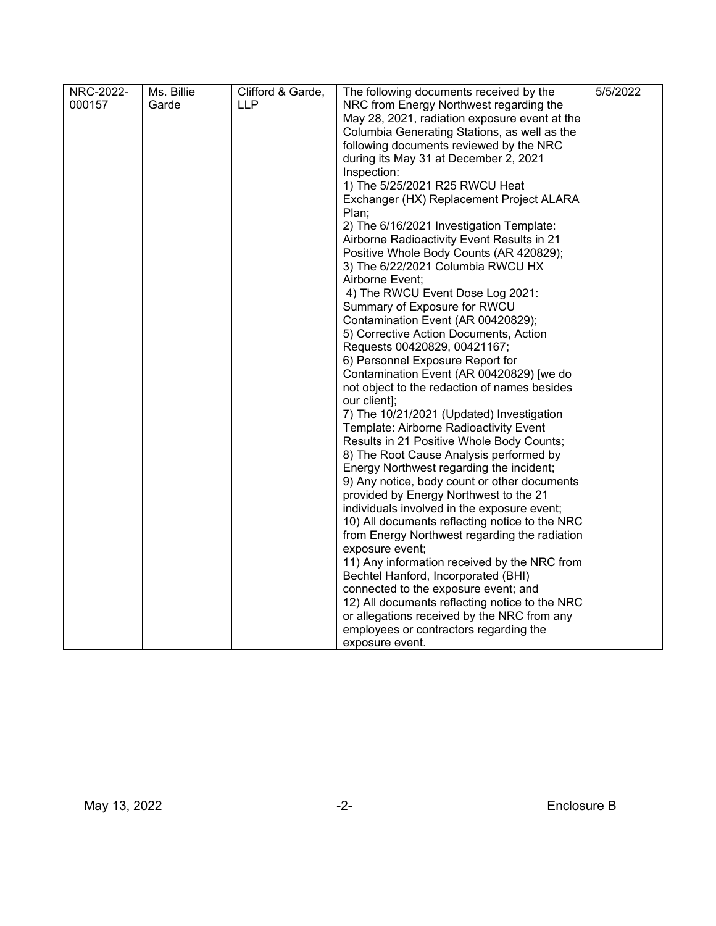| NRC-2022- | Ms. Billie | Clifford & Garde, | The following documents received by the        | 5/5/2022 |
|-----------|------------|-------------------|------------------------------------------------|----------|
| 000157    | Garde      | <b>LLP</b>        | NRC from Energy Northwest regarding the        |          |
|           |            |                   | May 28, 2021, radiation exposure event at the  |          |
|           |            |                   | Columbia Generating Stations, as well as the   |          |
|           |            |                   | following documents reviewed by the NRC        |          |
|           |            |                   | during its May 31 at December 2, 2021          |          |
|           |            |                   | Inspection:                                    |          |
|           |            |                   | 1) The 5/25/2021 R25 RWCU Heat                 |          |
|           |            |                   | Exchanger (HX) Replacement Project ALARA       |          |
|           |            |                   | Plan;                                          |          |
|           |            |                   | 2) The 6/16/2021 Investigation Template:       |          |
|           |            |                   | Airborne Radioactivity Event Results in 21     |          |
|           |            |                   | Positive Whole Body Counts (AR 420829);        |          |
|           |            |                   | 3) The 6/22/2021 Columbia RWCU HX              |          |
|           |            |                   | Airborne Event;                                |          |
|           |            |                   | 4) The RWCU Event Dose Log 2021:               |          |
|           |            |                   | Summary of Exposure for RWCU                   |          |
|           |            |                   | Contamination Event (AR 00420829);             |          |
|           |            |                   | 5) Corrective Action Documents, Action         |          |
|           |            |                   | Requests 00420829, 00421167;                   |          |
|           |            |                   | 6) Personnel Exposure Report for               |          |
|           |            |                   | Contamination Event (AR 00420829) [we do       |          |
|           |            |                   | not object to the redaction of names besides   |          |
|           |            |                   | our client];                                   |          |
|           |            |                   | 7) The 10/21/2021 (Updated) Investigation      |          |
|           |            |                   | Template: Airborne Radioactivity Event         |          |
|           |            |                   | Results in 21 Positive Whole Body Counts;      |          |
|           |            |                   | 8) The Root Cause Analysis performed by        |          |
|           |            |                   | Energy Northwest regarding the incident;       |          |
|           |            |                   | 9) Any notice, body count or other documents   |          |
|           |            |                   | provided by Energy Northwest to the 21         |          |
|           |            |                   | individuals involved in the exposure event;    |          |
|           |            |                   | 10) All documents reflecting notice to the NRC |          |
|           |            |                   | from Energy Northwest regarding the radiation  |          |
|           |            |                   | exposure event;                                |          |
|           |            |                   | 11) Any information received by the NRC from   |          |
|           |            |                   | Bechtel Hanford, Incorporated (BHI)            |          |
|           |            |                   | connected to the exposure event; and           |          |
|           |            |                   | 12) All documents reflecting notice to the NRC |          |
|           |            |                   | or allegations received by the NRC from any    |          |
|           |            |                   | employees or contractors regarding the         |          |
|           |            |                   | exposure event.                                |          |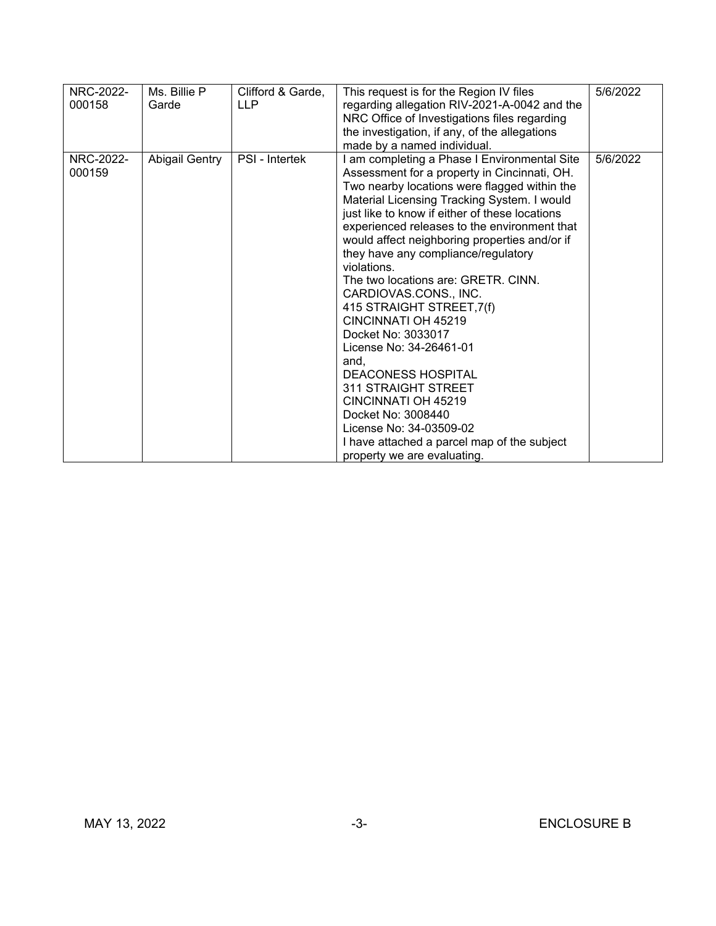| NRC-2022-<br>000158 | Ms. Billie P<br>Garde | Clifford & Garde,<br><b>LLP</b> | This request is for the Region IV files<br>regarding allegation RIV-2021-A-0042 and the<br>NRC Office of Investigations files regarding<br>the investigation, if any, of the allegations<br>made by a named individual.                                                                                                                                                                                                                                                                                                                                                                                                                                                                                                                                                                     | 5/6/2022 |
|---------------------|-----------------------|---------------------------------|---------------------------------------------------------------------------------------------------------------------------------------------------------------------------------------------------------------------------------------------------------------------------------------------------------------------------------------------------------------------------------------------------------------------------------------------------------------------------------------------------------------------------------------------------------------------------------------------------------------------------------------------------------------------------------------------------------------------------------------------------------------------------------------------|----------|
| NRC-2022-<br>000159 | Abigail Gentry        | PSI - Intertek                  | I am completing a Phase I Environmental Site<br>Assessment for a property in Cincinnati, OH.<br>Two nearby locations were flagged within the<br>Material Licensing Tracking System. I would<br>just like to know if either of these locations<br>experienced releases to the environment that<br>would affect neighboring properties and/or if<br>they have any compliance/regulatory<br>violations.<br>The two locations are: GRETR, CINN.<br>CARDIOVAS.CONS., INC.<br>415 STRAIGHT STREET, 7(f)<br>CINCINNATI OH 45219<br>Docket No: 3033017<br>License No: 34-26461-01<br>and,<br><b>DEACONESS HOSPITAL</b><br>311 STRAIGHT STREET<br>CINCINNATI OH 45219<br>Docket No: 3008440<br>License No: 34-03509-02<br>I have attached a parcel map of the subject<br>property we are evaluating. | 5/6/2022 |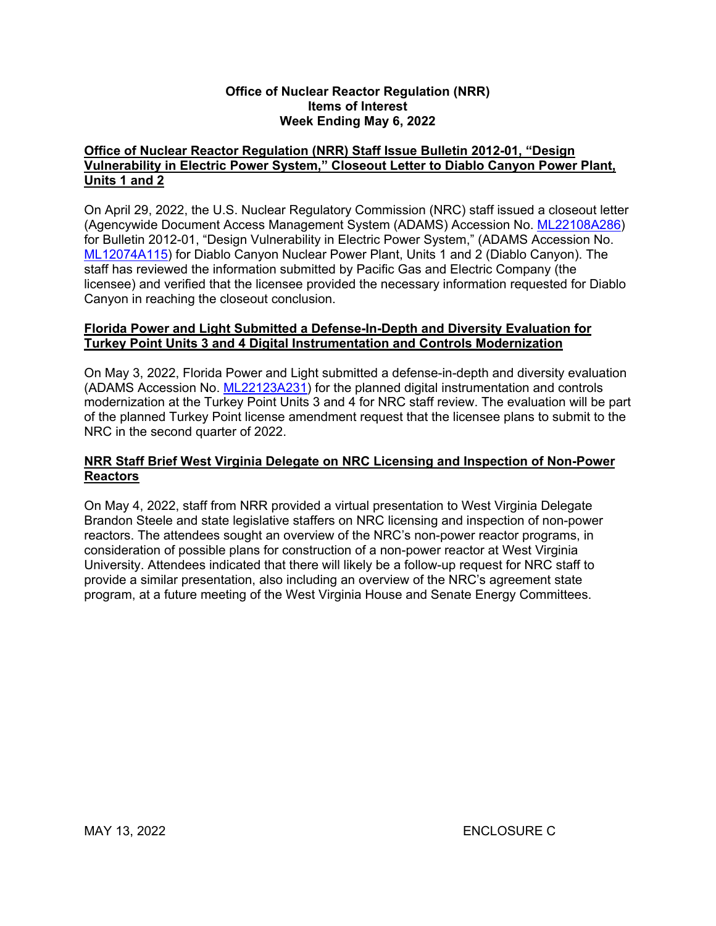#### **Office of Nuclear Reactor Regulation (NRR) Items of Interest Week Ending May 6, 2022**

#### **Office of Nuclear Reactor Regulation (NRR) Staff Issue Bulletin 2012-01, "Design Vulnerability in Electric Power System," Closeout Letter to Diablo Canyon Power Plant, Units 1 and 2**

On April 29, 2022, the U.S. Nuclear Regulatory Commission (NRC) staff issued a closeout letter (Agencywide Document Access Management System (ADAMS) Accession No. [ML22108A286](https://adamsxt.nrc.gov/navigator/AdamsXT/content/downloadContent.faces?objectStoreName=MainLibrary&vsId=%7bA350AF23-56CE-CFB0-87DB-803E6F600000%7d&ForceBrowserDownloadMgrPrompt=false)) for Bulletin 2012-01, "Design Vulnerability in Electric Power System," (ADAMS Accession No. [ML12074A115\)](https://adamsxt.nrc.gov/navigator/AdamsXT/content/downloadContent.faces?objectStoreName=MainLibrary&vsId=%7bBECB0BB5-CEBC-4140-A135-94186D65559F%7d&ForceBrowserDownloadMgrPrompt=false) for Diablo Canyon Nuclear Power Plant, Units 1 and 2 (Diablo Canyon). The staff has reviewed the information submitted by Pacific Gas and Electric Company (the licensee) and verified that the licensee provided the necessary information requested for Diablo Canyon in reaching the closeout conclusion.

#### **Florida Power and Light Submitted a Defense-In-Depth and Diversity Evaluation for Turkey Point Units 3 and 4 Digital Instrumentation and Controls Modernization**

On May 3, 2022, Florida Power and Light submitted a defense-in-depth and diversity evaluation (ADAMS Accession No. [ML22123A231\)](https://adamsxt.nrc.gov/navigator/AdamsXT/content/downloadContent.faces?objectStoreName=MainLibrary&vsId=%7bA755AD6E-8696-C6F0-86C5-808AFE600000%7d&ForceBrowserDownloadMgrPrompt=false) for the planned digital instrumentation and controls modernization at the Turkey Point Units 3 and 4 for NRC staff review. The evaluation will be part of the planned Turkey Point license amendment request that the licensee plans to submit to the NRC in the second quarter of 2022.

#### **NRR Staff Brief West Virginia Delegate on NRC Licensing and Inspection of Non-Power Reactors**

On May 4, 2022, staff from NRR provided a virtual presentation to West Virginia Delegate Brandon Steele and state legislative staffers on NRC licensing and inspection of non-power reactors. The attendees sought an overview of the NRC's non-power reactor programs, in consideration of possible plans for construction of a non-power reactor at West Virginia University. Attendees indicated that there will likely be a follow-up request for NRC staff to provide a similar presentation, also including an overview of the NRC's agreement state program, at a future meeting of the West Virginia House and Senate Energy Committees.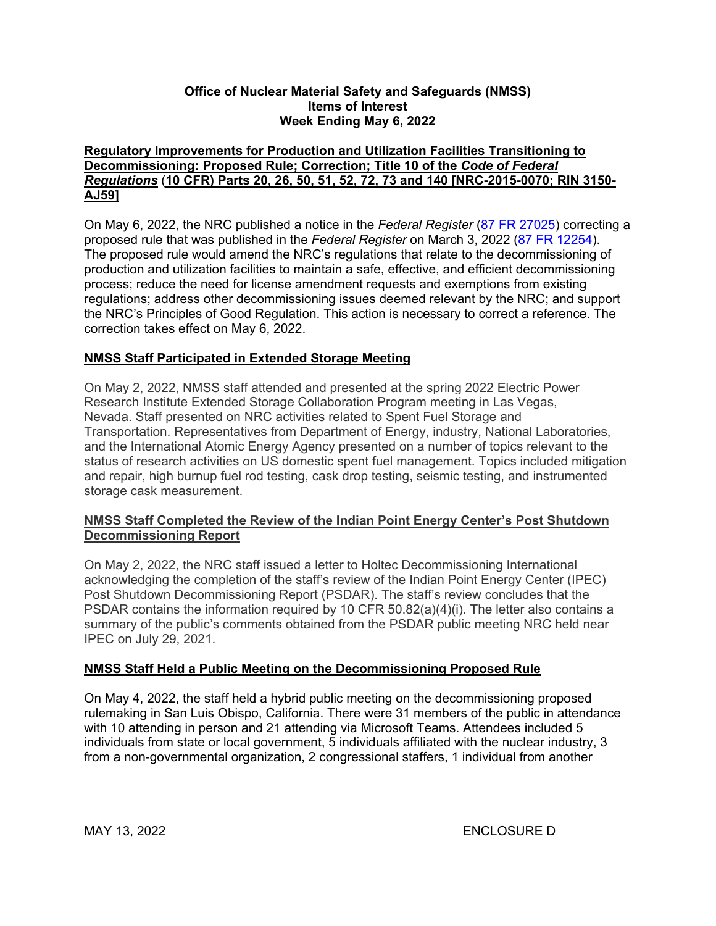#### **Office of Nuclear Material Safety and Safeguards (NMSS) Items of Interest Week Ending May 6, 2022**

#### **Regulatory Improvements for Production and Utilization Facilities Transitioning to Decommissioning: Proposed Rule; Correction; Title 10 of the** *Code of Federal Regulations* (**10 CFR) Parts 20, 26, 50, 51, 52, 72, 73 and 140 [NRC-2015-0070; RIN 3150- AJ59]**

On May 6, 2022, the NRC published a notice in the *Federal Register* [\(87 FR 27025\)](https://www.federalregister.gov/d/2022-09832) correcting a proposed rule that was published in the *Federal Register* on March 3, 2022 [\(87 FR 12254\)](https://www.federalregister.gov/d/2022-03131). The proposed rule would amend the NRC's regulations that relate to the decommissioning of production and utilization facilities to maintain a safe, effective, and efficient decommissioning process; reduce the need for license amendment requests and exemptions from existing regulations; address other decommissioning issues deemed relevant by the NRC; and support the NRC's Principles of Good Regulation. This action is necessary to correct a reference. The correction takes effect on May 6, 2022.

## **NMSS Staff Participated in Extended Storage Meeting**

On May 2, 2022, NMSS staff attended and presented at the spring 2022 Electric Power Research Institute Extended Storage Collaboration Program meeting in Las Vegas, Nevada. Staff presented on NRC activities related to Spent Fuel Storage and Transportation. Representatives from Department of Energy, industry, National Laboratories, and the International Atomic Energy Agency presented on a number of topics relevant to the status of research activities on US domestic spent fuel management. Topics included mitigation and repair, high burnup fuel rod testing, cask drop testing, seismic testing, and instrumented storage cask measurement.

## **NMSS Staff Completed the Review of the Indian Point Energy Center's Post Shutdown Decommissioning Report**

On May 2, 2022, the NRC staff issued a letter to Holtec Decommissioning International acknowledging the completion of the staff's review of the Indian Point Energy Center (IPEC) Post Shutdown Decommissioning Report (PSDAR). The staff's review concludes that the PSDAR contains the information required by 10 CFR 50.82(a)(4)(i). The letter also contains a summary of the public's comments obtained from the PSDAR public meeting NRC held near IPEC on July 29, 2021.

## **NMSS Staff Held a Public Meeting on the Decommissioning Proposed Rule**

On May 4, 2022, the staff held a hybrid public meeting on the decommissioning proposed rulemaking in San Luis Obispo, California. There were 31 members of the public in attendance with 10 attending in person and 21 attending via Microsoft Teams. Attendees included 5 individuals from state or local government, 5 individuals affiliated with the nuclear industry, 3 from a non-governmental organization, 2 congressional staffers, 1 individual from another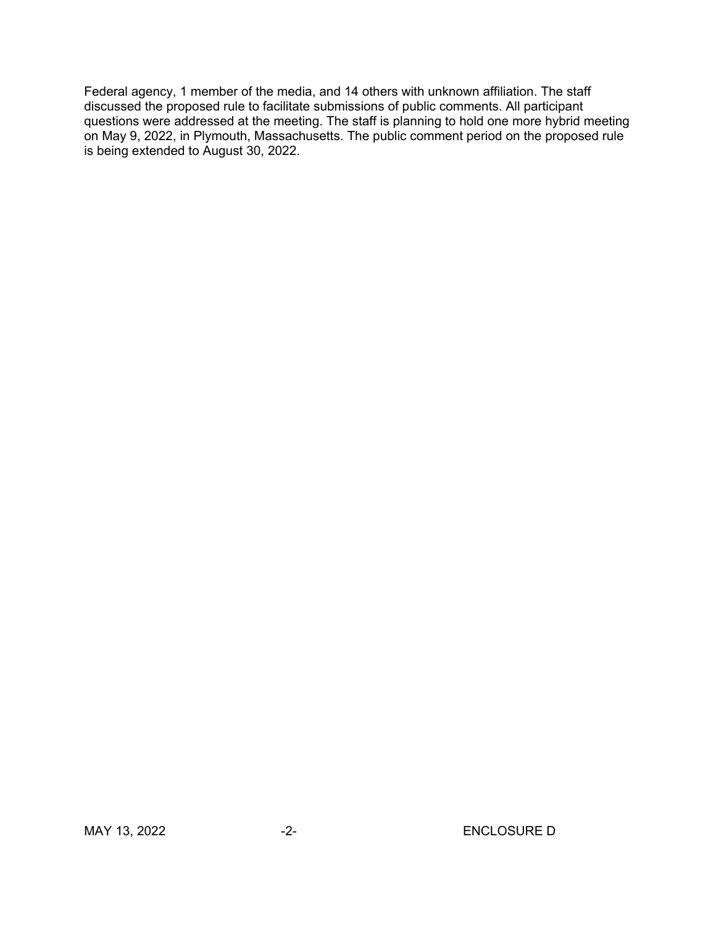Federal agency, 1 member of the media, and 14 others with unknown affiliation. The staff discussed the proposed rule to facilitate submissions of public comments. All participant questions were addressed at the meeting. The staff is planning to hold one more hybrid meeting on May 9, 2022, in Plymouth, Massachusetts. The public comment period on the proposed rule is being extended to August 30, 2022.